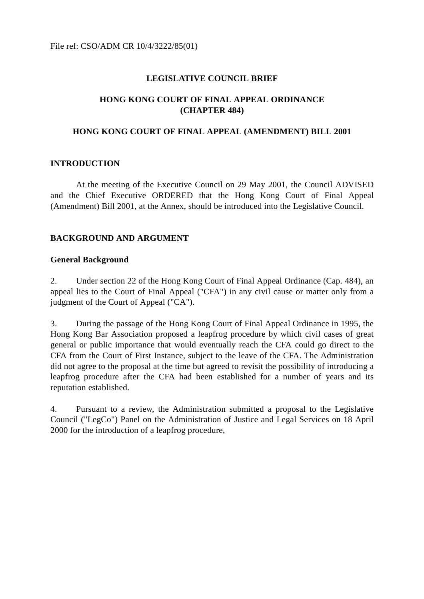File ref: CSO/ADM CR 10/4/3222/85(01)

### **LEGISLATIVE COUNCIL BRIEF**

# **HONG KONG COURT OF FINAL APPEAL ORDINANCE (CHAPTER 484)**

### **HONG KONG COURT OF FINAL APPEAL (AMENDMENT) BILL 2001**

### **INTRODUCTION**

At the meeting of the Executive Council on 29 May 2001, the Council ADVISED and the Chief Executive ORDERED that the Hong Kong Court of Final Appeal (Amendment) Bill 2001, at the Annex, should be introduced into the Legislative Council.

### **BACKGROUND AND ARGUMENT**

### **General Background**

2. Under section 22 of the Hong Kong Court of Final Appeal Ordinance (Cap. 484), an appeal lies to the Court of Final Appeal ("CFA") in any civil cause or matter only from a judgment of the Court of Appeal ("CA").

3. During the passage of the Hong Kong Court of Final Appeal Ordinance in 1995, the Hong Kong Bar Association proposed a leapfrog procedure by which civil cases of great general or public importance that would eventually reach the CFA could go direct to the CFA from the Court of First Instance, subject to the leave of the CFA. The Administration did not agree to the proposal at the time but agreed to revisit the possibility of introducing a leapfrog procedure after the CFA had been established for a number of years and its reputation established.

4. Pursuant to a review, the Administration submitted a proposal to the Legislative Council ("LegCo") Panel on the Administration of Justice and Legal Services on 18 April 2000 for the introduction of a leapfrog procedure,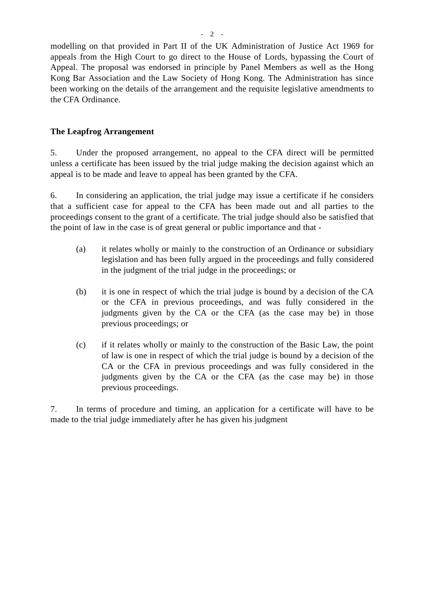modelling on that provided in Part II of the UK Administration of Justice Act 1969 for appeals from the High Court to go direct to the House of Lords, bypassing the Court of Appeal. The proposal was endorsed in principle by Panel Members as well as the Hong Kong Bar Association and the Law Society of Hong Kong. The Administration has since been working on the details of the arrangement and the requisite legislative amendments to the CFA Ordinance.

# **The Leapfrog Arrangement**

5. Under the proposed arrangement, no appeal to the CFA direct will be permitted unless a certificate has been issued by the trial judge making the decision against which an appeal is to be made and leave to appeal has been granted by the CFA.

6. In considering an application, the trial judge may issue a certificate if he considers that a sufficient case for appeal to the CFA has been made out and all parties to the proceedings consent to the grant of a certificate. The trial judge should also be satisfied that the point of law in the case is of great general or public importance and that -

- (a) it relates wholly or mainly to the construction of an Ordinance or subsidiary legislation and has been fully argued in the proceedings and fully considered in the judgment of the trial judge in the proceedings; or
- (b) it is one in respect of which the trial judge is bound by a decision of the CA or the CFA in previous proceedings, and was fully considered in the judgments given by the CA or the CFA (as the case may be) in those previous proceedings; or
- (c) if it relates wholly or mainly to the construction of the Basic Law, the point of law is one in respect of which the trial judge is bound by a decision of the CA or the CFA in previous proceedings and was fully considered in the judgments given by the CA or the CFA (as the case may be) in those previous proceedings.

7. In terms of procedure and timing, an application for a certificate will have to be made to the trial judge immediately after he has given his judgment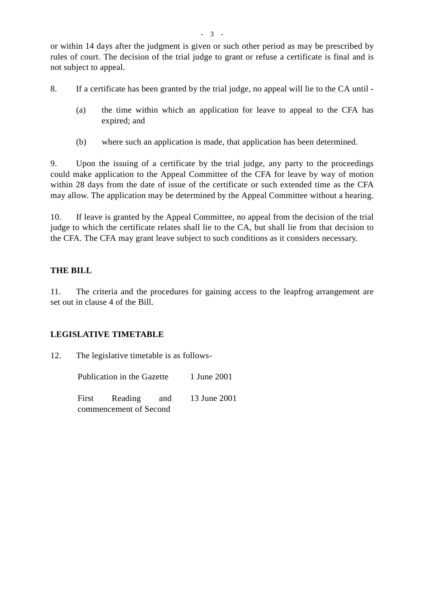or within 14 days after the judgment is given or such other period as may be prescribed by rules of court. The decision of the trial judge to grant or refuse a certificate is final and is not subject to appeal.

- 8. If a certificate has been granted by the trial judge, no appeal will lie to the CA until
	- (a) the time within which an application for leave to appeal to the CFA has expired; and
	- (b) where such an application is made, that application has been determined.

9. Upon the issuing of a certificate by the trial judge, any party to the proceedings could make application to the Appeal Committee of the CFA for leave by way of motion within 28 days from the date of issue of the certificate or such extended time as the CFA may allow. The application may be determined by the Appeal Committee without a hearing.

10. If leave is granted by the Appeal Committee, no appeal from the decision of the trial judge to which the certificate relates shall lie to the CA, but shall lie from that decision to the CFA. The CFA may grant leave subject to such conditions as it considers necessary.

### **THE BILL**

11. The criteria and the procedures for gaining access to the leapfrog arrangement are set out in clause 4 of the Bill.

### **LEGISLATIVE TIMETABLE**

12. The legislative timetable is as follows-

| Publication in the Gazette |                        |  | 1 June 2001                    |
|----------------------------|------------------------|--|--------------------------------|
|                            |                        |  | First Reading and 13 June 2001 |
|                            | commencement of Second |  |                                |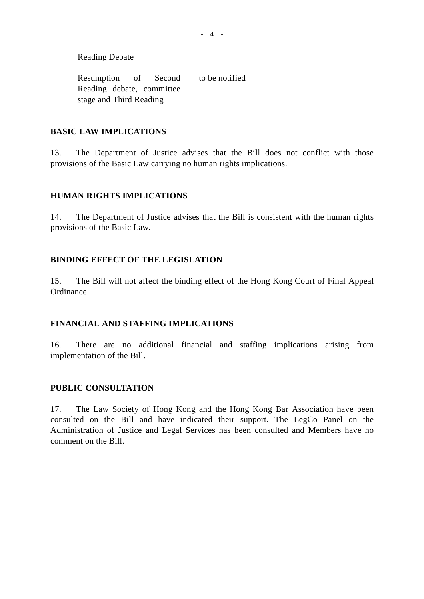Reading Debate

Resumption of Second Reading debate, committee stage and Third Reading to be notified

### **BASIC LAW IMPLICATIONS**

13. The Department of Justice advises that the Bill does not conflict with those provisions of the Basic Law carrying no human rights implications.

### **HUMAN RIGHTS IMPLICATIONS**

14. The Department of Justice advises that the Bill is consistent with the human rights provisions of the Basic Law.

### **BINDING EFFECT OF THE LEGISLATION**

15. The Bill will not affect the binding effect of the Hong Kong Court of Final Appeal Ordinance.

### **FINANCIAL AND STAFFING IMPLICATIONS**

16. There are no additional financial and staffing implications arising from implementation of the Bill.

### **PUBLIC CONSULTATION**

17. The Law Society of Hong Kong and the Hong Kong Bar Association have been consulted on the Bill and have indicated their support. The LegCo Panel on the Administration of Justice and Legal Services has been consulted and Members have no comment on the Bill.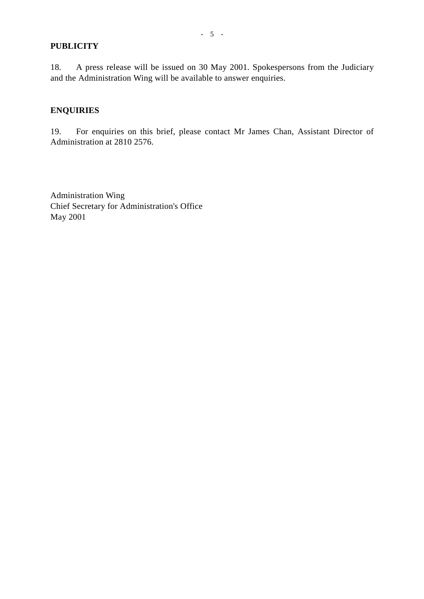### **PUBLICITY**

18. A press release will be issued on 30 May 2001. Spokespersons from the Judiciary and the Administration Wing will be available to answer enquiries.

# **ENQUIRIES**

19. For enquiries on this brief, please contact Mr James Chan, Assistant Director of Administration at 2810 2576.

Administration Wing Chief Secretary for Administration's Office May 2001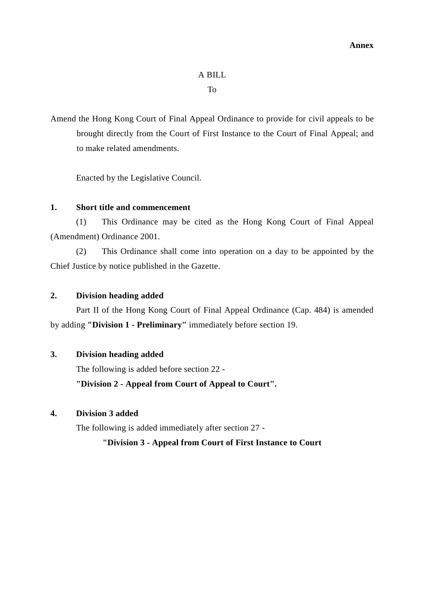# A BILL

To

Amend the Hong Kong Court of Final Appeal Ordinance to provide for civil appeals to be brought directly from the Court of First Instance to the Court of Final Appeal; and to make related amendments.

Enacted by the Legislative Council.

### **1. Short title and commencement**

(1) This Ordinance may be cited as the Hong Kong Court of Final Appeal (Amendment) Ordinance 2001.

(2) This Ordinance shall come into operation on a day to be appointed by the Chief Justice by notice published in the Gazette.

#### **2. Division heading added**

Part II of the Hong Kong Court of Final Appeal Ordinance (Cap. 484) is amended by adding **"Division 1 - Preliminary"** immediately before section 19.

# **3. Division heading added**

The following is added before section 22 -

### **"Division 2 - Appeal from Court of Appeal to Court".**

### **4. Division 3 added**

The following is added immediately after section 27 -

### **"Division 3 - Appeal from Court of First Instance to Court**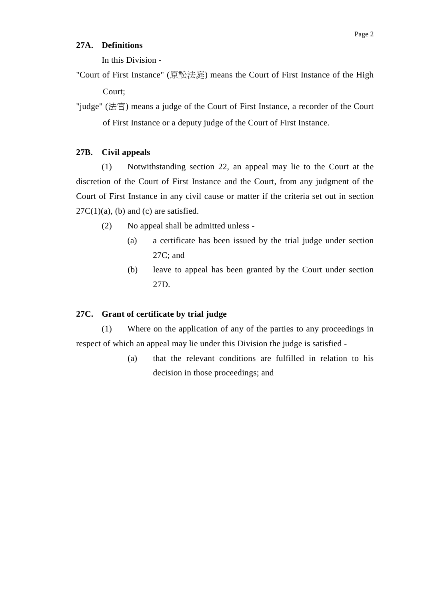#### **27A. Definitions**

In this Division -

"Court of First Instance" (原訟法庭) means the Court of First Instance of the High Court;

"judge" (法官) means a judge of the Court of First Instance, a recorder of the Court of First Instance or a deputy judge of the Court of First Instance.

#### **27B. Civil appeals**

(1) Notwithstanding section 22, an appeal may lie to the Court at the discretion of the Court of First Instance and the Court, from any judgment of the Court of First Instance in any civil cause or matter if the criteria set out in section  $27C(1)(a)$ , (b) and (c) are satisfied.

- (2) No appeal shall be admitted unless
	- (a) a certificate has been issued by the trial judge under section 27C; and
	- (b) leave to appeal has been granted by the Court under section 27D.

#### **27C. Grant of certificate by trial judge**

(1) Where on the application of any of the parties to any proceedings in respect of which an appeal may lie under this Division the judge is satisfied -

> (a) that the relevant conditions are fulfilled in relation to his decision in those proceedings; and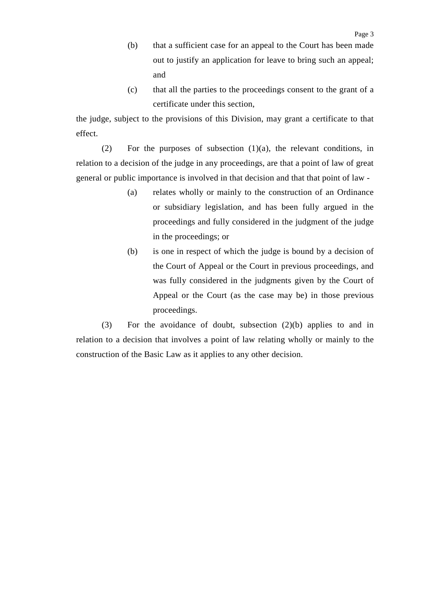- (b) that a sufficient case for an appeal to the Court has been made out to justify an application for leave to bring such an appeal; and
- (c) that all the parties to the proceedings consent to the grant of a certificate under this section,

the judge, subject to the provisions of this Division, may grant a certificate to that effect.

(2) For the purposes of subsection (1)(a), the relevant conditions, in relation to a decision of the judge in any proceedings, are that a point of law of great general or public importance is involved in that decision and that that point of law -

- (a) relates wholly or mainly to the construction of an Ordinance or subsidiary legislation, and has been fully argued in the proceedings and fully considered in the judgment of the judge in the proceedings; or
- (b) is one in respect of which the judge is bound by a decision of the Court of Appeal or the Court in previous proceedings, and was fully considered in the judgments given by the Court of Appeal or the Court (as the case may be) in those previous proceedings.

(3) For the avoidance of doubt, subsection (2)(b) applies to and in relation to a decision that involves a point of law relating wholly or mainly to the construction of the Basic Law as it applies to any other decision.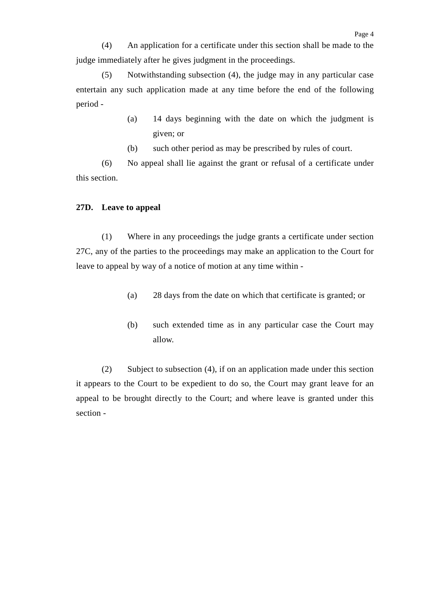(4) An application for a certificate under this section shall be made to the judge immediately after he gives judgment in the proceedings.

(5) Notwithstanding subsection (4), the judge may in any particular case entertain any such application made at any time before the end of the following period -

- (a) 14 days beginning with the date on which the judgment is given; or
- (b) such other period as may be prescribed by rules of court.

(6) No appeal shall lie against the grant or refusal of a certificate under this section.

#### **27D. Leave to appeal**

(1) Where in any proceedings the judge grants a certificate under section 27C, any of the parties to the proceedings may make an application to the Court for leave to appeal by way of a notice of motion at any time within -

- (a) 28 days from the date on which that certificate is granted; or
- (b) such extended time as in any particular case the Court may allow.

(2) Subject to subsection (4), if on an application made under this section it appears to the Court to be expedient to do so, the Court may grant leave for an appeal to be brought directly to the Court; and where leave is granted under this section -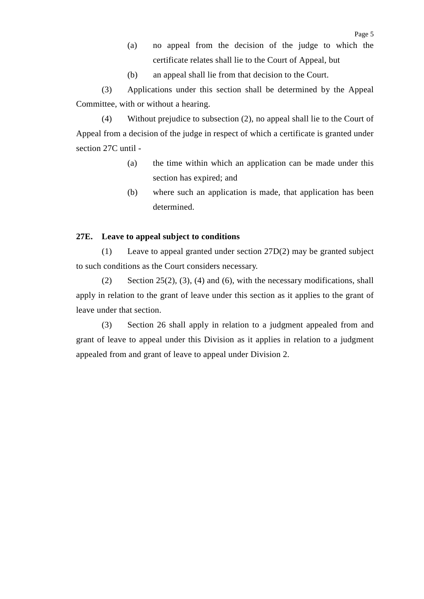- (a) no appeal from the decision of the judge to which the certificate relates shall lie to the Court of Appeal, but
- (b) an appeal shall lie from that decision to the Court.

(3) Applications under this section shall be determined by the Appeal Committee, with or without a hearing.

(4) Without prejudice to subsection (2), no appeal shall lie to the Court of Appeal from a decision of the judge in respect of which a certificate is granted under section 27C until -

- (a) the time within which an application can be made under this section has expired; and
- (b) where such an application is made, that application has been determined.

#### **27E. Leave to appeal subject to conditions**

(1) Leave to appeal granted under section 27D(2) may be granted subject to such conditions as the Court considers necessary.

(2) Section  $25(2)$ , (3), (4) and (6), with the necessary modifications, shall apply in relation to the grant of leave under this section as it applies to the grant of leave under that section.

(3) Section 26 shall apply in relation to a judgment appealed from and grant of leave to appeal under this Division as it applies in relation to a judgment appealed from and grant of leave to appeal under Division 2.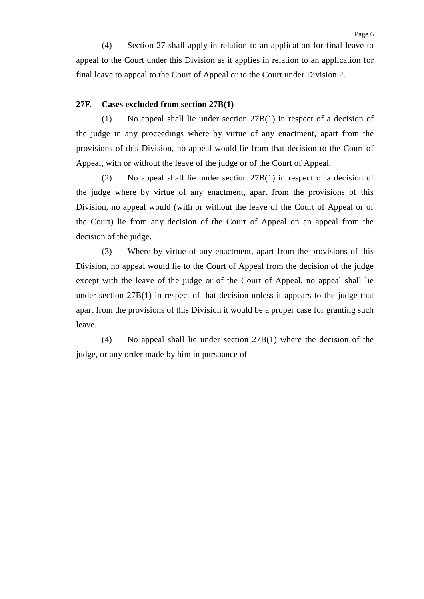(4) Section 27 shall apply in relation to an application for final leave to appeal to the Court under this Division as it applies in relation to an application for final leave to appeal to the Court of Appeal or to the Court under Division 2.

#### **27F. Cases excluded from section 27B(1)**

(1) No appeal shall lie under section 27B(1) in respect of a decision of the judge in any proceedings where by virtue of any enactment, apart from the provisions of this Division, no appeal would lie from that decision to the Court of Appeal, with or without the leave of the judge or of the Court of Appeal.

(2) No appeal shall lie under section 27B(1) in respect of a decision of the judge where by virtue of any enactment, apart from the provisions of this Division, no appeal would (with or without the leave of the Court of Appeal or of the Court) lie from any decision of the Court of Appeal on an appeal from the decision of the judge.

(3) Where by virtue of any enactment, apart from the provisions of this Division, no appeal would lie to the Court of Appeal from the decision of the judge except with the leave of the judge or of the Court of Appeal, no appeal shall lie under section 27B(1) in respect of that decision unless it appears to the judge that apart from the provisions of this Division it would be a proper case for granting such leave.

(4) No appeal shall lie under section 27B(1) where the decision of the judge, or any order made by him in pursuance of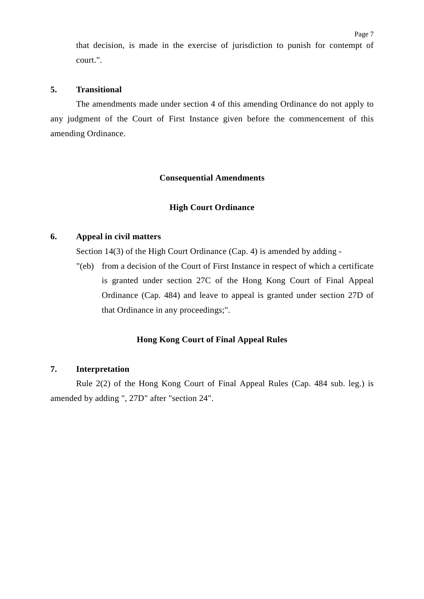that decision, is made in the exercise of jurisdiction to punish for contempt of court.".

#### **5. Transitional**

The amendments made under section 4 of this amending Ordinance do not apply to any judgment of the Court of First Instance given before the commencement of this amending Ordinance.

#### **Consequential Amendments**

#### **High Court Ordinance**

#### **6. Appeal in civil matters**

Section 14(3) of the High Court Ordinance (Cap. 4) is amended by adding -

"(eb) from a decision of the Court of First Instance in respect of which a certificate is granted under section 27C of the Hong Kong Court of Final Appeal Ordinance (Cap. 484) and leave to appeal is granted under section 27D of that Ordinance in any proceedings;".

#### **Hong Kong Court of Final Appeal Rules**

#### **7. Interpretation**

Rule 2(2) of the Hong Kong Court of Final Appeal Rules (Cap. 484 sub. leg.) is amended by adding ", 27D" after "section 24".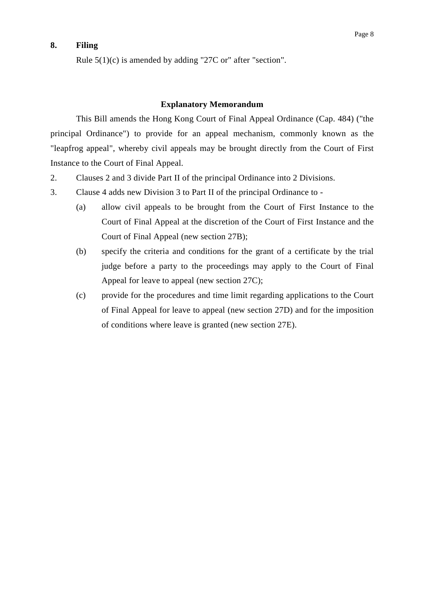# **8. Filing**

#### **Explanatory Memorandum**

This Bill amends the Hong Kong Court of Final Appeal Ordinance (Cap. 484) ("the principal Ordinance") to provide for an appeal mechanism, commonly known as the "leapfrog appeal", whereby civil appeals may be brought directly from the Court of First Instance to the Court of Final Appeal.

- 2. Clauses 2 and 3 divide Part II of the principal Ordinance into 2 Divisions.
- 3. Clause 4 adds new Division 3 to Part II of the principal Ordinance to
	- (a) allow civil appeals to be brought from the Court of First Instance to the Court of Final Appeal at the discretion of the Court of First Instance and the Court of Final Appeal (new section 27B);
	- (b) specify the criteria and conditions for the grant of a certificate by the trial judge before a party to the proceedings may apply to the Court of Final Appeal for leave to appeal (new section 27C);
	- (c) provide for the procedures and time limit regarding applications to the Court of Final Appeal for leave to appeal (new section 27D) and for the imposition of conditions where leave is granted (new section 27E).